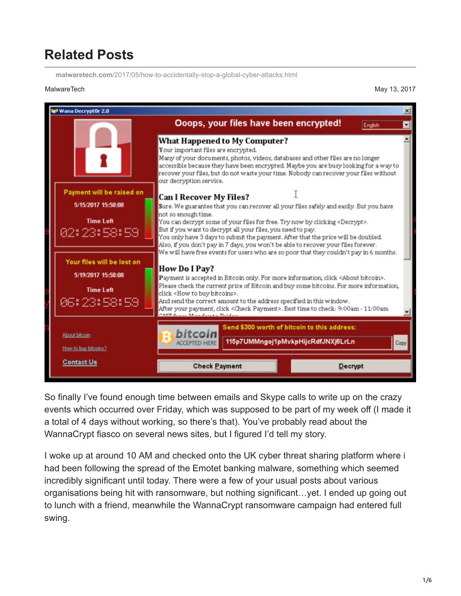## **Related Posts**

**malwaretech.com**[/2017/05/how-to-accidentally-stop-a-global-cyber-attacks.html](https://www.malwaretech.com/2017/05/how-to-accidentally-stop-a-global-cyber-attacks.html)

MalwareTech May 13, 2017



So finally I've found enough time between emails and Skype calls to write up on the crazy events which occurred over Friday, which was supposed to be part of my week off (I made it a total of 4 days without working, so there's that). You've probably read about the WannaCrypt fiasco on several news sites, but I figured I'd tell my story.

I woke up at around 10 AM and checked onto the UK cyber threat sharing platform where i had been following the spread of the Emotet banking malware, something which seemed incredibly significant until today. There were a few of your usual posts about various organisations being hit with ransomware, but nothing significant…yet. I ended up going out to lunch with a friend, meanwhile the WannaCrypt ransomware campaign had entered full swing.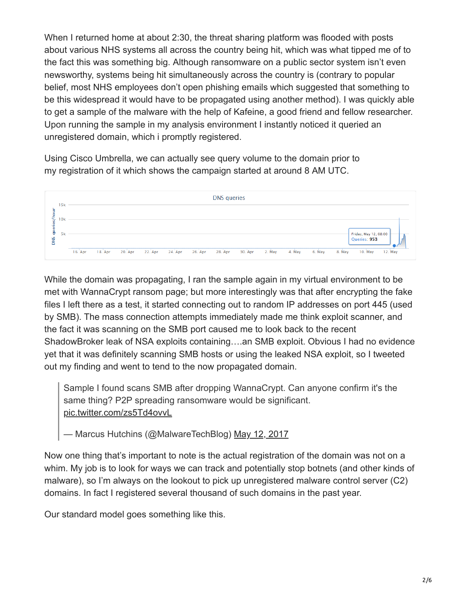When I returned home at about 2:30, the threat sharing platform was flooded with posts about various NHS systems all across the country being hit, which was what tipped me of to the fact this was something big. Although ransomware on a public sector system isn't even newsworthy, systems being hit simultaneously across the country is (contrary to popular belief, most NHS employees don't open phishing emails which suggested that something to be this widespread it would have to be propagated using another method). I was quickly able to get a sample of the malware with the help of Kafeine, a good friend and fellow researcher. Upon running the sample in my analysis environment I instantly noticed it queried an unregistered domain, which i promptly registered.

Using Cisco Umbrella, we can actually see query volume to the domain prior to my registration of it which shows the campaign started at around 8 AM UTC.



While the domain was propagating, I ran the sample again in my virtual environment to be met with WannaCrypt ransom page; but more interestingly was that after encrypting the fake files I left there as a test, it started connecting out to random IP addresses on port 445 (used by SMB). The mass connection attempts immediately made me think exploit scanner, and the fact it was scanning on the SMB port caused me to look back to the recent ShadowBroker leak of NSA exploits containing….an SMB exploit. Obvious I had no evidence yet that it was definitely scanning SMB hosts or using the leaked NSA exploit, so I tweeted out my finding and went to tend to the now propagated domain.

Sample I found scans SMB after dropping WannaCrypt. Can anyone confirm it's the same thing? P2P spreading ransomware would be significant. [pic.twitter.com/zs5Td4ovvL](https://t.co/zs5Td4ovvL)

- Marcus Hutchins (@MalwareTechBlog) [May 12, 2017](https://twitter.com/MalwareTechBlog/status/863054290360946688?ref_src=twsrc%5Etfw)

Now one thing that's important to note is the actual registration of the domain was not on a whim. My job is to look for ways we can track and potentially stop botnets (and other kinds of malware), so I'm always on the lookout to pick up unregistered malware control server (C2) domains. In fact I registered several thousand of such domains in the past year.

Our standard model goes something like this.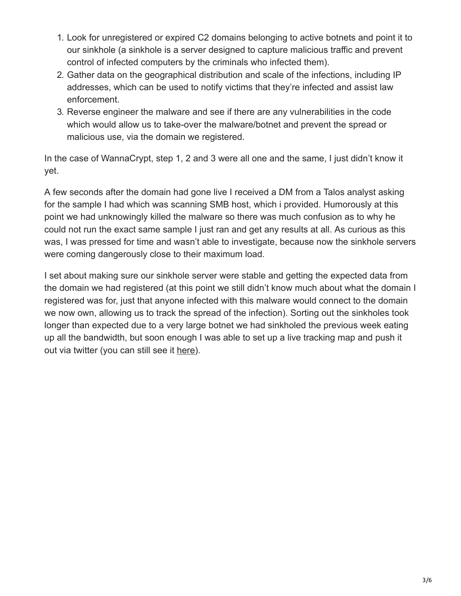- 1. Look for unregistered or expired C2 domains belonging to active botnets and point it to our sinkhole (a sinkhole is a server designed to capture malicious traffic and prevent control of infected computers by the criminals who infected them).
- 2. Gather data on the geographical distribution and scale of the infections, including IP addresses, which can be used to notify victims that they're infected and assist law enforcement.
- 3. Reverse engineer the malware and see if there are any vulnerabilities in the code which would allow us to take-over the malware/botnet and prevent the spread or malicious use, via the domain we registered.

In the case of WannaCrypt, step 1, 2 and 3 were all one and the same, I just didn't know it yet.

A few seconds after the domain had gone live I received a DM from a Talos analyst asking for the sample I had which was scanning SMB host, which i provided. Humorously at this point we had unknowingly killed the malware so there was much confusion as to why he could not run the exact same sample I just ran and get any results at all. As curious as this was, I was pressed for time and wasn't able to investigate, because now the sinkhole servers were coming dangerously close to their maximum load.

I set about making sure our sinkhole server were stable and getting the expected data from the domain we had registered (at this point we still didn't know much about what the domain I registered was for, just that anyone infected with this malware would connect to the domain we now own, allowing us to track the spread of the infection). Sorting out the sinkholes took longer than expected due to a very large botnet we had sinkholed the previous week eating up all the bandwidth, but soon enough I was able to set up a live tracking map and push it out via twitter (you can still see it [here](https://intel.malwaretech.com/WannaCrypt.html)).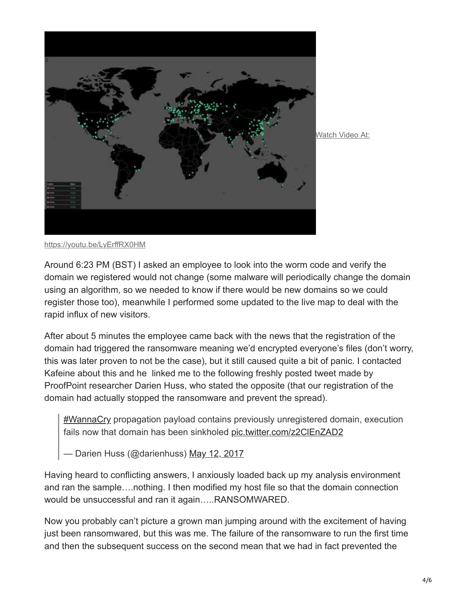

Watch Video At:

<https://youtu.be/LyErffRX0HM>

Around 6:23 PM (BST) I asked an employee to look into the worm code and verify the domain we registered would not change (some malware will periodically change the domain using an algorithm, so we needed to know if there would be new domains so we could register those too), meanwhile I performed some updated to the live map to deal with the rapid influx of new visitors.

After about 5 minutes the employee came back with the news that the registration of the domain had triggered the ransomware meaning we'd encrypted everyone's files (don't worry, this was later proven to not be the case), but it still caused quite a bit of panic. I contacted Kafeine about this and he linked me to the following freshly posted tweet made by ProofPoint researcher Darien Huss, who stated the opposite (that our registration of the domain had actually stopped the ransomware and prevent the spread).

[#WannaCry](https://twitter.com/hashtag/WannaCry?src=hash&ref_src=twsrc%5Etfw) propagation payload contains previously unregistered domain, execution fails now that domain has been sinkholed [pic.twitter.com/z2ClEnZAD2](https://t.co/z2ClEnZAD2)

— Darien Huss (@darienhuss) [May 12, 2017](https://twitter.com/darienhuss/status/863083680528576512?ref_src=twsrc%5Etfw)

Having heard to conflicting answers, I anxiously loaded back up my analysis environment and ran the sample….nothing. I then modified my host file so that the domain connection would be unsuccessful and ran it again…..RANSOMWARED.

Now you probably can't picture a grown man jumping around with the excitement of having just been ransomwared, but this was me. The failure of the ransomware to run the first time and then the subsequent success on the second mean that we had in fact prevented the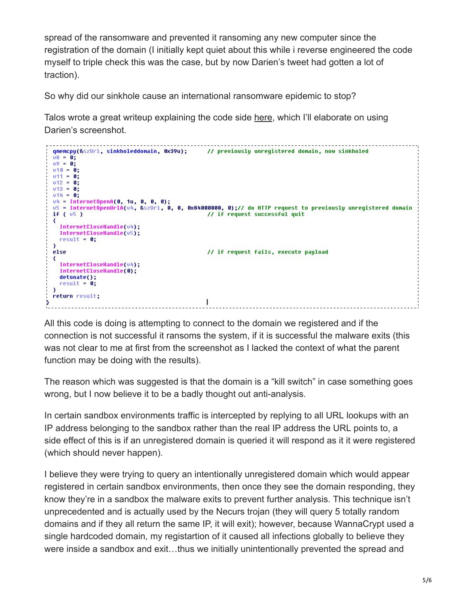spread of the ransomware and prevented it ransoming any new computer since the registration of the domain (I initially kept quiet about this while i reverse engineered the code myself to triple check this was the case, but by now Darien's tweet had gotten a lot of traction).

So why did our sinkhole cause an international ransomware epidemic to stop?

Talos wrote a great writeup explaining the code side [here,](http://blog.talosintelligence.com/2017/05/wannacry.html) which I'll elaborate on using Darien's screenshot.

```
qmemcpy(&szUrl, sinkholeddomain, 0x39u);
                                                    // previously unregistered domain, now sinkholed
v8 = 0;
09 = 0;v10 = 0;v11 = 0;v12 = 0;v13 = 0;v14 = 0;v4 = InternetOpenA(0, 1u, 0, 0, 0);u5 = InternetOpenUrlA(u4, &szUrl, 0, 0, 0x84000000, 0);// do HTTP request to previously unregistered domain
if (v5)// if request successful quit
\left\langle \cdot \right\rangleInternetCloseHandle(v4);
   InternetCloseHandle(v5);
  result = 0;\mathcal{F}else
                                                    // if request fails, execute payload
\left\{ \right.InternetCloseHandle(v4);
   InternetCloseHandle(0);
   detonate();
   result = 0;X
 return result;
                                                   \mathsf{I}۵
```
All this code is doing is attempting to connect to the domain we registered and if the connection is not successful it ransoms the system, if it is successful the malware exits (this was not clear to me at first from the screenshot as I lacked the context of what the parent function may be doing with the results).

The reason which was suggested is that the domain is a "kill switch" in case something goes wrong, but I now believe it to be a badly thought out anti-analysis.

In certain sandbox environments traffic is intercepted by replying to all URL lookups with an IP address belonging to the sandbox rather than the real IP address the URL points to, a side effect of this is if an unregistered domain is queried it will respond as it it were registered (which should never happen).

I believe they were trying to query an intentionally unregistered domain which would appear registered in certain sandbox environments, then once they see the domain responding, they know they're in a sandbox the malware exits to prevent further analysis. This technique isn't unprecedented and is actually used by the Necurs trojan (they will query 5 totally random domains and if they all return the same IP, it will exit); however, because WannaCrypt used a single hardcoded domain, my registartion of it caused all infections globally to believe they were inside a sandbox and exit...thus we initially unintentionally prevented the spread and